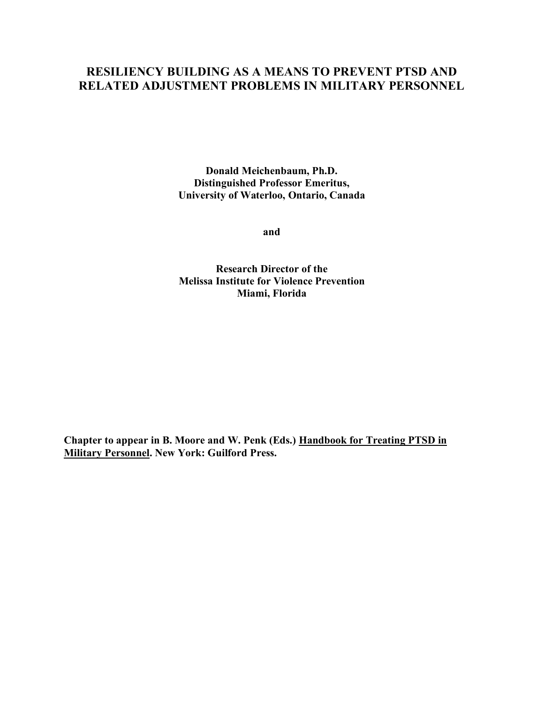## **RESILIENCY BUILDING AS A MEANS TO PREVENT PTSD AND RELATED ADJUSTMENT PROBLEMS IN MILITARY PERSONNEL**

**Donald Meichenbaum, Ph.D. Distinguished Professor Emeritus, University of Waterloo, Ontario, Canada** 

**and**

**Research Director of the Melissa Institute for Violence Prevention Miami, Florida**

**Chapter to appear in B. Moore and W. Penk (Eds.) Handbook for Treating PTSD in Military Personnel. New York: Guilford Press.**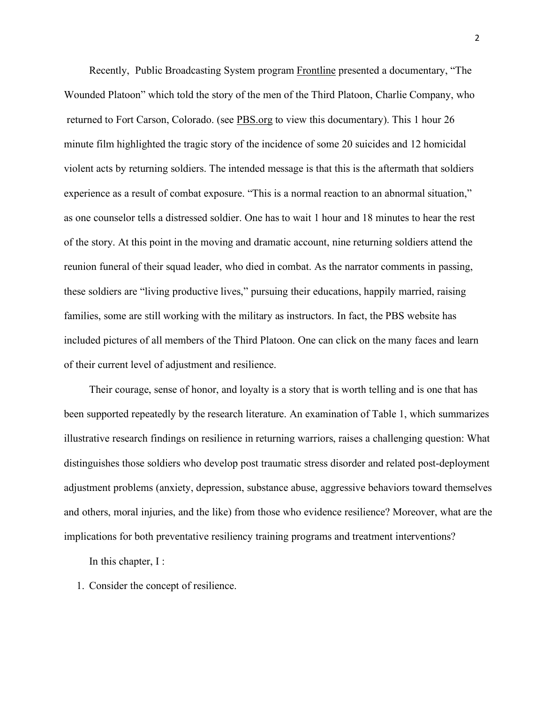Recently, Public Broadcasting System program Frontline presented a documentary, "The Wounded Platoon" which told the story of the men of the Third Platoon, Charlie Company, who returned to Fort Carson, Colorado. (see PBS.org to view this documentary). This 1 hour 26 minute film highlighted the tragic story of the incidence of some 20 suicides and 12 homicidal violent acts by returning soldiers. The intended message is that this is the aftermath that soldiers experience as a result of combat exposure. "This is a normal reaction to an abnormal situation," as one counselor tells a distressed soldier. One has to wait 1 hour and 18 minutes to hear the rest of the story. At this point in the moving and dramatic account, nine returning soldiers attend the reunion funeral of their squad leader, who died in combat. As the narrator comments in passing, these soldiers are "living productive lives," pursuing their educations, happily married, raising families, some are still working with the military as instructors. In fact, the PBS website has included pictures of all members of the Third Platoon. One can click on the many faces and learn of their current level of adjustment and resilience.

Their courage, sense of honor, and loyalty is a story that is worth telling and is one that has been supported repeatedly by the research literature. An examination of Table 1, which summarizes illustrative research findings on resilience in returning warriors, raises a challenging question: What distinguishes those soldiers who develop post traumatic stress disorder and related post-deployment adjustment problems (anxiety, depression, substance abuse, aggressive behaviors toward themselves and others, moral injuries, and the like) from those who evidence resilience? Moreover, what are the implications for both preventative resiliency training programs and treatment interventions?

In this chapter, I :

1. Consider the concept of resilience.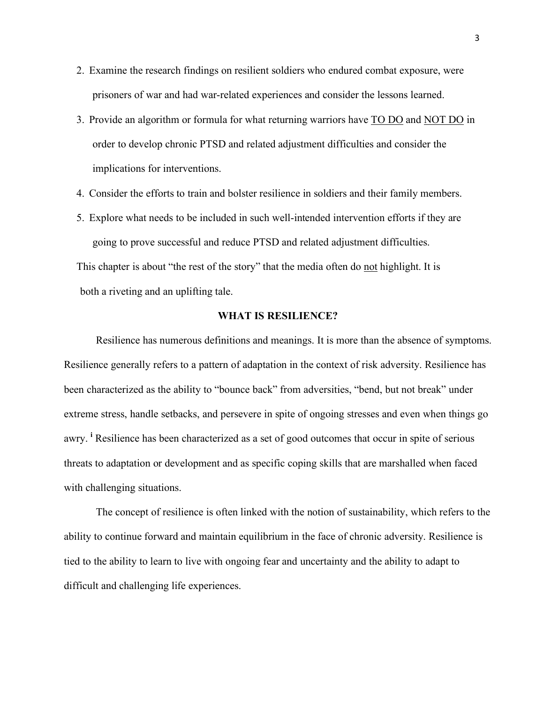- 2. Examine the research findings on resilient soldiers who endured combat exposure, were prisoners of war and had war-related experiences and consider the lessons learned.
- 3. Provide an algorithm or formula for what returning warriors have TO DO and NOT DO in order to develop chronic PTSD and related adjustment difficulties and consider the implications for interventions.
- 4. Consider the efforts to train and bolster resilience in soldiers and their family members.
- 5. Explore what needs to be included in such well-intended intervention efforts if they are going to prove successful and reduce PTSD and related adjustment difficulties. This chapter is about "the rest of the story" that the media often do not highlight. It is

both a riveting and an uplifting tale.

#### **WHAT IS RESILIENCE?**

Resilience has numerous definitions and meanings. It is more than the absence of symptoms. Resilience generally refers to a pattern of adaptation in the context of risk adversity. Resilience has been characterized as the ability to "bounce back" from adversities, "bend, but not break" under extreme stress, handle setbacks, and persevere in spite of ongoing stresses and even when things go awry. **i** Resilience has been characterized as a set of good outcomes that occur in spite of serious threats to adaptation or development and as specific coping skills that are marshalled when faced with challenging situations.

The concept of resilience is often linked with the notion of sustainability, which refers to the ability to continue forward and maintain equilibrium in the face of chronic adversity. Resilience is tied to the ability to learn to live with ongoing fear and uncertainty and the ability to adapt to difficult and challenging life experiences.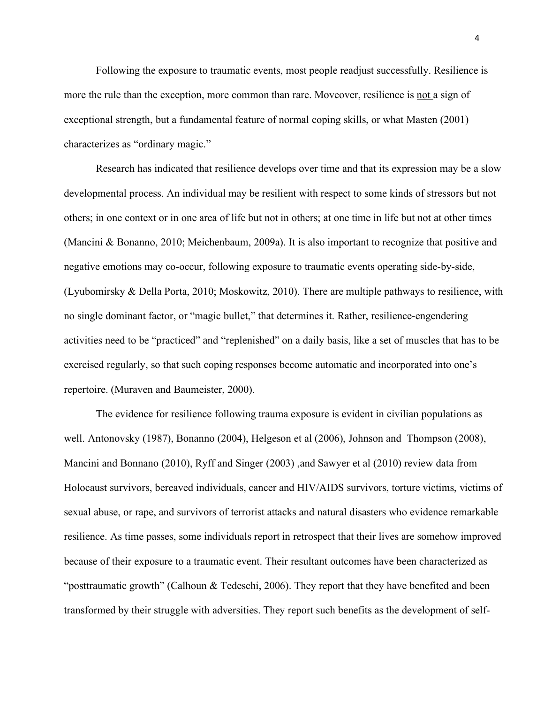Following the exposure to traumatic events, most people readjust successfully. Resilience is more the rule than the exception, more common than rare. Moveover, resilience is not a sign of exceptional strength, but a fundamental feature of normal coping skills, or what Masten (2001) characterizes as "ordinary magic."

Research has indicated that resilience develops over time and that its expression may be a slow developmental process. An individual may be resilient with respect to some kinds of stressors but not others; in one context or in one area of life but not in others; at one time in life but not at other times (Mancini & Bonanno, 2010; Meichenbaum, 2009a). It is also important to recognize that positive and negative emotions may co-occur, following exposure to traumatic events operating side-by-side, (Lyubomirsky & Della Porta, 2010; Moskowitz, 2010). There are multiple pathways to resilience, with no single dominant factor, or "magic bullet," that determines it. Rather, resilience-engendering activities need to be "practiced" and "replenished" on a daily basis, like a set of muscles that has to be exercised regularly, so that such coping responses become automatic and incorporated into one's repertoire. (Muraven and Baumeister, 2000).

The evidence for resilience following trauma exposure is evident in civilian populations as well. Antonovsky (1987), Bonanno (2004), Helgeson et al (2006), Johnson and Thompson (2008), Mancini and Bonnano (2010), Ryff and Singer (2003) ,and Sawyer et al (2010) review data from Holocaust survivors, bereaved individuals, cancer and HIV/AIDS survivors, torture victims, victims of sexual abuse, or rape, and survivors of terrorist attacks and natural disasters who evidence remarkable resilience. As time passes, some individuals report in retrospect that their lives are somehow improved because of their exposure to a traumatic event. Their resultant outcomes have been characterized as "posttraumatic growth" (Calhoun & Tedeschi, 2006). They report that they have benefited and been transformed by their struggle with adversities. They report such benefits as the development of self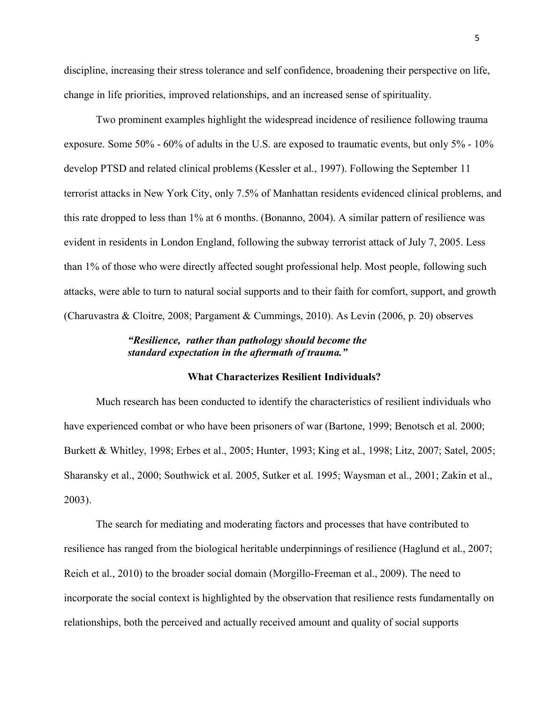discipline, increasing their stress tolerance and self confidence, broadening their perspective on life, change in life priorities, improved relationships, and an increased sense of spirituality.

Two prominent examples highlight the widespread incidence of resilience following trauma exposure. Some 50% - 60% of adults in the U.S. are exposed to traumatic events, but only 5% - 10% develop PTSD and related clinical problems (Kessler et al., 1997). Following the September 11 terrorist attacks in New York City, only 7.5% of Manhattan residents evidenced clinical problems, and this rate dropped to less than 1% at 6 months. (Bonanno, 2004). A similar pattern of resilience was evident in residents in London England, following the subway terrorist attack of July 7, 2005. Less than 1% of those who were directly affected sought professional help. Most people, following such attacks, were able to turn to natural social supports and to their faith for comfort, support, and growth (Charuvastra & Cloitre, 2008; Pargament & Cummings, 2010). As Levin (2006, p. 20) observes

## *"Resilience, rather than pathology should become the standard expectation in the aftermath of trauma."*

#### **What Characterizes Resilient Individuals?**

Much research has been conducted to identify the characteristics of resilient individuals who have experienced combat or who have been prisoners of war (Bartone, 1999; Benotsch et al. 2000; Burkett & Whitley, 1998; Erbes et al., 2005; Hunter, 1993; King et al., 1998; Litz, 2007; Satel, 2005; Sharansky et al., 2000; Southwick et al. 2005, Sutker et al. 1995; Waysman et al., 2001; Zakin et al., 2003).

The search for mediating and moderating factors and processes that have contributed to resilience has ranged from the biological heritable underpinnings of resilience (Haglund et al., 2007; Reich et al., 2010) to the broader social domain (Morgillo-Freeman et al., 2009). The need to incorporate the social context is highlighted by the observation that resilience rests fundamentally on relationships, both the perceived and actually received amount and quality of social supports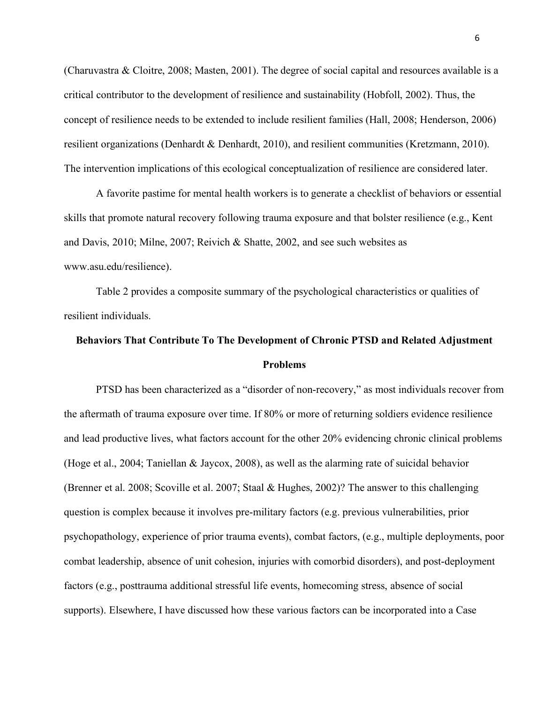(Charuvastra & Cloitre, 2008; Masten, 2001). The degree of social capital and resources available is a critical contributor to the development of resilience and sustainability (Hobfoll, 2002). Thus, the concept of resilience needs to be extended to include resilient families (Hall, 2008; Henderson, 2006) resilient organizations (Denhardt & Denhardt, 2010), and resilient communities (Kretzmann, 2010). The intervention implications of this ecological conceptualization of resilience are considered later.

A favorite pastime for mental health workers is to generate a checklist of behaviors or essential skills that promote natural recovery following trauma exposure and that bolster resilience (e.g., Kent and Davis, 2010; Milne, 2007; Reivich & Shatte, 2002, and see such websites as www.asu.edu/resilience).

Table 2 provides a composite summary of the psychological characteristics or qualities of resilient individuals.

# **Behaviors That Contribute To The Development of Chronic PTSD and Related Adjustment Problems**

PTSD has been characterized as a "disorder of non-recovery," as most individuals recover from the aftermath of trauma exposure over time. If 80% or more of returning soldiers evidence resilience and lead productive lives, what factors account for the other 20% evidencing chronic clinical problems (Hoge et al., 2004; Taniellan & Jaycox, 2008), as well as the alarming rate of suicidal behavior (Brenner et al. 2008; Scoville et al. 2007; Staal & Hughes, 2002)? The answer to this challenging question is complex because it involves pre-military factors (e.g. previous vulnerabilities, prior psychopathology, experience of prior trauma events), combat factors, (e.g., multiple deployments, poor combat leadership, absence of unit cohesion, injuries with comorbid disorders), and post-deployment factors (e.g., posttrauma additional stressful life events, homecoming stress, absence of social supports). Elsewhere, I have discussed how these various factors can be incorporated into a Case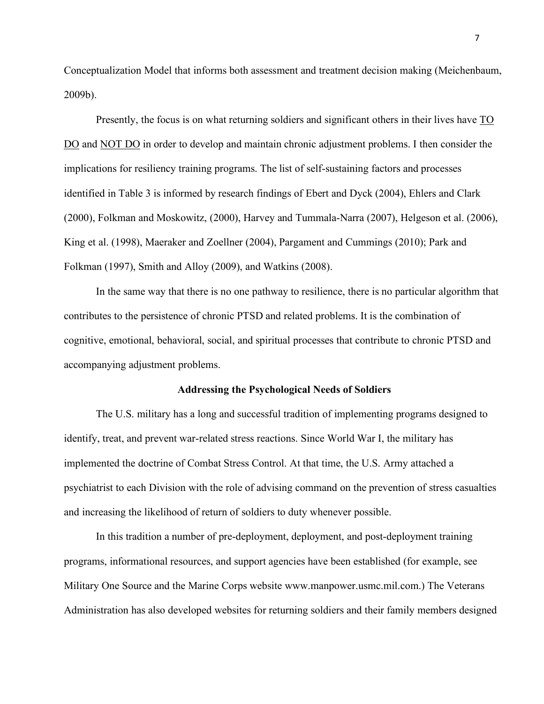Conceptualization Model that informs both assessment and treatment decision making (Meichenbaum, 2009b).

Presently, the focus is on what returning soldiers and significant others in their lives have TO DO and NOT DO in order to develop and maintain chronic adjustment problems. I then consider the implications for resiliency training programs. The list of self-sustaining factors and processes identified in Table 3 is informed by research findings of Ebert and Dyck (2004), Ehlers and Clark (2000), Folkman and Moskowitz, (2000), Harvey and Tummala-Narra (2007), Helgeson et al. (2006), King et al. (1998), Maeraker and Zoellner (2004), Pargament and Cummings (2010); Park and Folkman (1997), Smith and Alloy (2009), and Watkins (2008).

In the same way that there is no one pathway to resilience, there is no particular algorithm that contributes to the persistence of chronic PTSD and related problems. It is the combination of cognitive, emotional, behavioral, social, and spiritual processes that contribute to chronic PTSD and accompanying adjustment problems.

#### **Addressing the Psychological Needs of Soldiers**

The U.S. military has a long and successful tradition of implementing programs designed to identify, treat, and prevent war-related stress reactions. Since World War I, the military has implemented the doctrine of Combat Stress Control. At that time, the U.S. Army attached a psychiatrist to each Division with the role of advising command on the prevention of stress casualties and increasing the likelihood of return of soldiers to duty whenever possible.

In this tradition a number of pre-deployment, deployment, and post-deployment training programs, informational resources, and support agencies have been established (for example, see Military One Source and the Marine Corps website www.manpower.usmc.mil.com.) The Veterans Administration has also developed websites for returning soldiers and their family members designed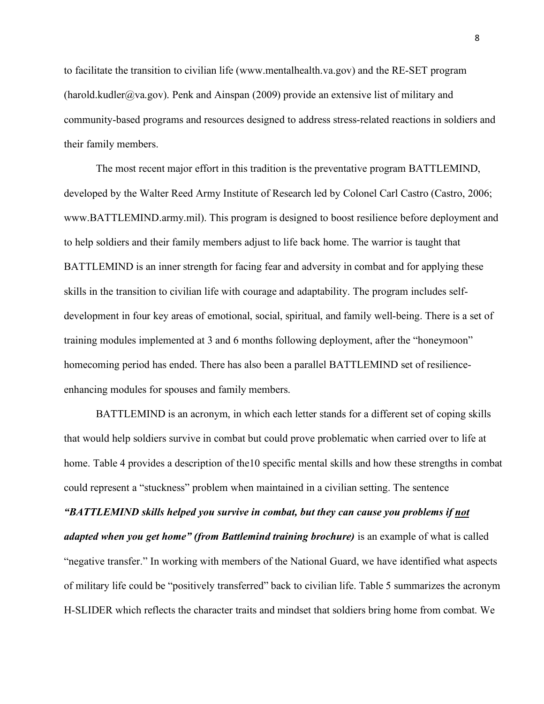to facilitate the transition to civilian life (www.mentalhealth.va.gov) and the RE-SET program  $(harold.kudler@va.gov)$ . Penk and Ainspan (2009) provide an extensive list of military and community-based programs and resources designed to address stress-related reactions in soldiers and their family members.

The most recent major effort in this tradition is the preventative program BATTLEMIND, developed by the Walter Reed Army Institute of Research led by Colonel Carl Castro (Castro, 2006; www.BATTLEMIND.army.mil). This program is designed to boost resilience before deployment and to help soldiers and their family members adjust to life back home. The warrior is taught that BATTLEMIND is an inner strength for facing fear and adversity in combat and for applying these skills in the transition to civilian life with courage and adaptability. The program includes selfdevelopment in four key areas of emotional, social, spiritual, and family well-being. There is a set of training modules implemented at 3 and 6 months following deployment, after the "honeymoon" homecoming period has ended. There has also been a parallel BATTLEMIND set of resilienceenhancing modules for spouses and family members.

BATTLEMIND is an acronym, in which each letter stands for a different set of coping skills that would help soldiers survive in combat but could prove problematic when carried over to life at home. Table 4 provides a description of the10 specific mental skills and how these strengths in combat could represent a "stuckness" problem when maintained in a civilian setting. The sentence

*"BATTLEMIND skills helped you survive in combat, but they can cause you problems if not adapted when you get home" (from Battlemind training brochure)* is an example of what is called "negative transfer." In working with members of the National Guard, we have identified what aspects of military life could be "positively transferred" back to civilian life. Table 5 summarizes the acronym H-SLIDER which reflects the character traits and mindset that soldiers bring home from combat. We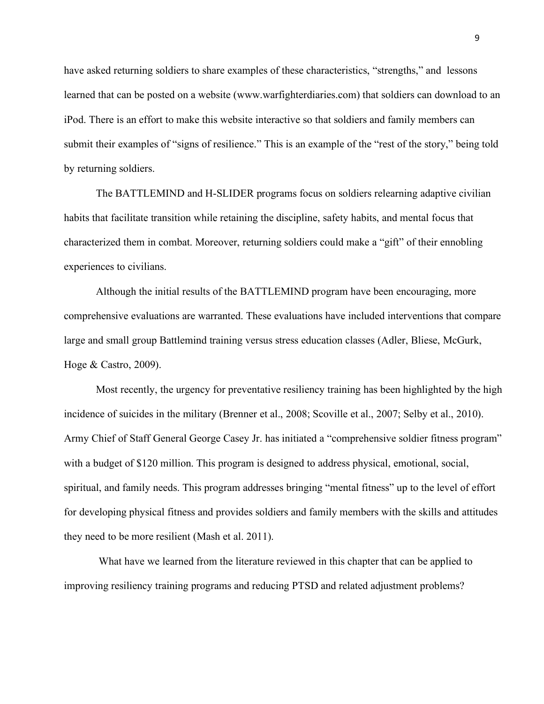have asked returning soldiers to share examples of these characteristics, "strengths," and lessons learned that can be posted on a website (www.warfighterdiaries.com) that soldiers can download to an iPod. There is an effort to make this website interactive so that soldiers and family members can submit their examples of "signs of resilience." This is an example of the "rest of the story," being told by returning soldiers.

The BATTLEMIND and H-SLIDER programs focus on soldiers relearning adaptive civilian habits that facilitate transition while retaining the discipline, safety habits, and mental focus that characterized them in combat. Moreover, returning soldiers could make a "gift" of their ennobling experiences to civilians.

Although the initial results of the BATTLEMIND program have been encouraging, more comprehensive evaluations are warranted. These evaluations have included interventions that compare large and small group Battlemind training versus stress education classes (Adler, Bliese, McGurk, Hoge & Castro, 2009).

Most recently, the urgency for preventative resiliency training has been highlighted by the high incidence of suicides in the military (Brenner et al., 2008; Scoville et al., 2007; Selby et al., 2010). Army Chief of Staff General George Casey Jr. has initiated a "comprehensive soldier fitness program" with a budget of \$120 million. This program is designed to address physical, emotional, social, spiritual, and family needs. This program addresses bringing "mental fitness" up to the level of effort for developing physical fitness and provides soldiers and family members with the skills and attitudes they need to be more resilient (Mash et al. 2011).

 What have we learned from the literature reviewed in this chapter that can be applied to improving resiliency training programs and reducing PTSD and related adjustment problems?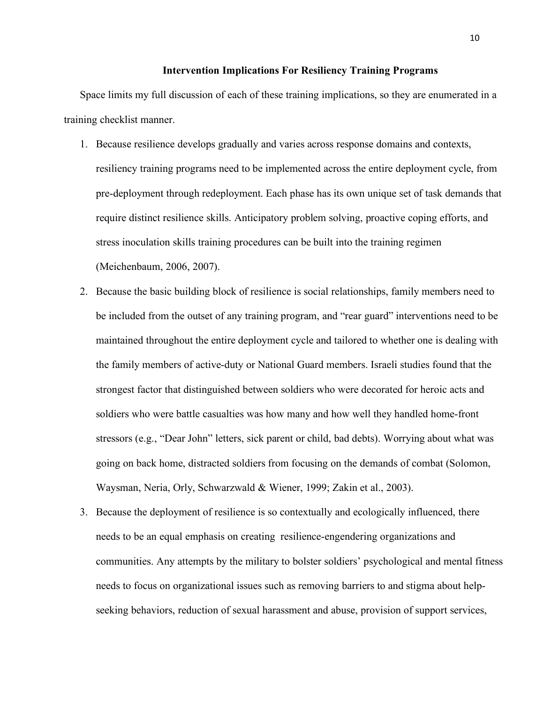#### **Intervention Implications For Resiliency Training Programs**

Space limits my full discussion of each of these training implications, so they are enumerated in a training checklist manner.

- 1. Because resilience develops gradually and varies across response domains and contexts, resiliency training programs need to be implemented across the entire deployment cycle, from pre-deployment through redeployment. Each phase has its own unique set of task demands that require distinct resilience skills. Anticipatory problem solving, proactive coping efforts, and stress inoculation skills training procedures can be built into the training regimen (Meichenbaum, 2006, 2007).
- 2. Because the basic building block of resilience is social relationships, family members need to be included from the outset of any training program, and "rear guard" interventions need to be maintained throughout the entire deployment cycle and tailored to whether one is dealing with the family members of active-duty or National Guard members. Israeli studies found that the strongest factor that distinguished between soldiers who were decorated for heroic acts and soldiers who were battle casualties was how many and how well they handled home-front stressors (e.g., "Dear John" letters, sick parent or child, bad debts). Worrying about what was going on back home, distracted soldiers from focusing on the demands of combat (Solomon, Waysman, Neria, Orly, Schwarzwald & Wiener, 1999; Zakin et al., 2003).
- 3. Because the deployment of resilience is so contextually and ecologically influenced, there needs to be an equal emphasis on creating resilience-engendering organizations and communities. Any attempts by the military to bolster soldiers' psychological and mental fitness needs to focus on organizational issues such as removing barriers to and stigma about helpseeking behaviors, reduction of sexual harassment and abuse, provision of support services,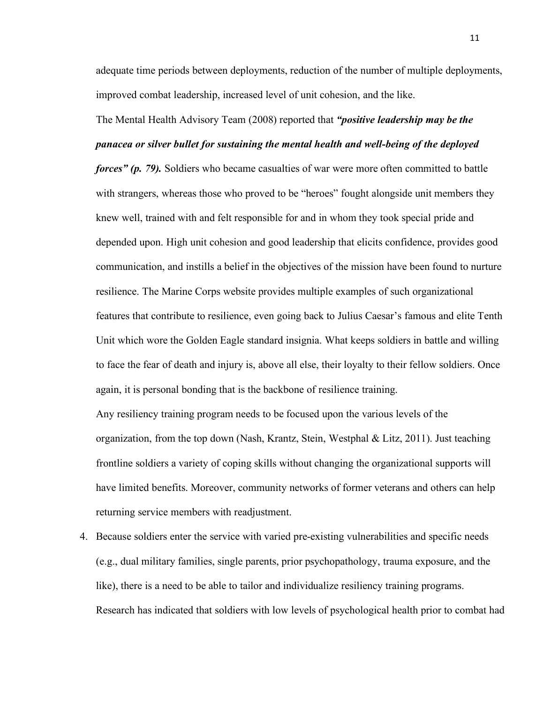adequate time periods between deployments, reduction of the number of multiple deployments, improved combat leadership, increased level of unit cohesion, and the like.

# The Mental Health Advisory Team (2008) reported that *"positive leadership may be the panacea or silver bullet for sustaining the mental health and well-being of the deployed*

*forces" (p. 79).* Soldiers who became casualties of war were more often committed to battle with strangers, whereas those who proved to be "heroes" fought alongside unit members they knew well, trained with and felt responsible for and in whom they took special pride and depended upon. High unit cohesion and good leadership that elicits confidence, provides good communication, and instills a belief in the objectives of the mission have been found to nurture resilience. The Marine Corps website provides multiple examples of such organizational features that contribute to resilience, even going back to Julius Caesar's famous and elite Tenth Unit which wore the Golden Eagle standard insignia. What keeps soldiers in battle and willing to face the fear of death and injury is, above all else, their loyalty to their fellow soldiers. Once again, it is personal bonding that is the backbone of resilience training.

Any resiliency training program needs to be focused upon the various levels of the organization, from the top down (Nash, Krantz, Stein, Westphal & Litz, 2011). Just teaching frontline soldiers a variety of coping skills without changing the organizational supports will have limited benefits. Moreover, community networks of former veterans and others can help returning service members with readjustment.

4. Because soldiers enter the service with varied pre-existing vulnerabilities and specific needs (e.g., dual military families, single parents, prior psychopathology, trauma exposure, and the like), there is a need to be able to tailor and individualize resiliency training programs. Research has indicated that soldiers with low levels of psychological health prior to combat had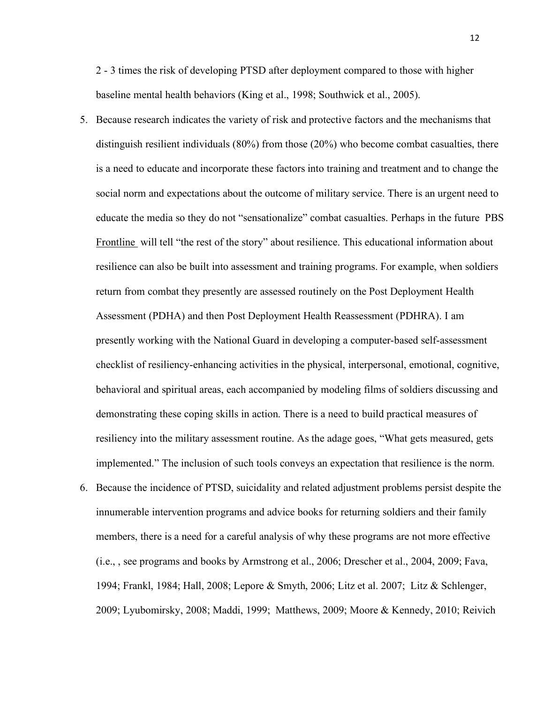2 - 3 times the risk of developing PTSD after deployment compared to those with higher baseline mental health behaviors (King et al., 1998; Southwick et al., 2005).

- 5. Because research indicates the variety of risk and protective factors and the mechanisms that distinguish resilient individuals (80%) from those (20%) who become combat casualties, there is a need to educate and incorporate these factors into training and treatment and to change the social norm and expectations about the outcome of military service. There is an urgent need to educate the media so they do not "sensationalize" combat casualties. Perhaps in the future PBS Frontline will tell "the rest of the story" about resilience. This educational information about resilience can also be built into assessment and training programs. For example, when soldiers return from combat they presently are assessed routinely on the Post Deployment Health Assessment (PDHA) and then Post Deployment Health Reassessment (PDHRA). I am presently working with the National Guard in developing a computer-based self-assessment checklist of resiliency-enhancing activities in the physical, interpersonal, emotional, cognitive, behavioral and spiritual areas, each accompanied by modeling films of soldiers discussing and demonstrating these coping skills in action. There is a need to build practical measures of resiliency into the military assessment routine. As the adage goes, "What gets measured, gets implemented." The inclusion of such tools conveys an expectation that resilience is the norm.
- 6. Because the incidence of PTSD, suicidality and related adjustment problems persist despite the innumerable intervention programs and advice books for returning soldiers and their family members, there is a need for a careful analysis of why these programs are not more effective (i.e., , see programs and books by Armstrong et al., 2006; Drescher et al., 2004, 2009; Fava, 1994; Frankl, 1984; Hall, 2008; Lepore & Smyth, 2006; Litz et al. 2007; Litz & Schlenger, 2009; Lyubomirsky, 2008; Maddi, 1999; Matthews, 2009; Moore & Kennedy, 2010; Reivich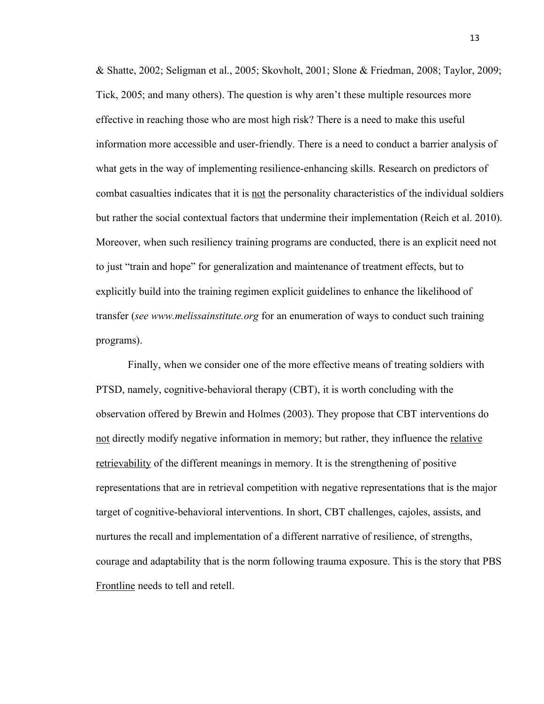& Shatte, 2002; Seligman et al., 2005; Skovholt, 2001; Slone & Friedman, 2008; Taylor, 2009; Tick, 2005; and many others). The question is why aren't these multiple resources more effective in reaching those who are most high risk? There is a need to make this useful information more accessible and user-friendly. There is a need to conduct a barrier analysis of what gets in the way of implementing resilience-enhancing skills. Research on predictors of combat casualties indicates that it is not the personality characteristics of the individual soldiers but rather the social contextual factors that undermine their implementation (Reich et al. 2010). Moreover, when such resiliency training programs are conducted, there is an explicit need not to just "train and hope" for generalization and maintenance of treatment effects, but to explicitly build into the training regimen explicit guidelines to enhance the likelihood of transfer (*see www.melissainstitute.org* for an enumeration of ways to conduct such training programs).

Finally, when we consider one of the more effective means of treating soldiers with PTSD, namely, cognitive-behavioral therapy (CBT), it is worth concluding with the observation offered by Brewin and Holmes (2003). They propose that CBT interventions do not directly modify negative information in memory; but rather, they influence the relative retrievability of the different meanings in memory. It is the strengthening of positive representations that are in retrieval competition with negative representations that is the major target of cognitive-behavioral interventions. In short, CBT challenges, cajoles, assists, and nurtures the recall and implementation of a different narrative of resilience, of strengths, courage and adaptability that is the norm following trauma exposure. This is the story that PBS Frontline needs to tell and retell.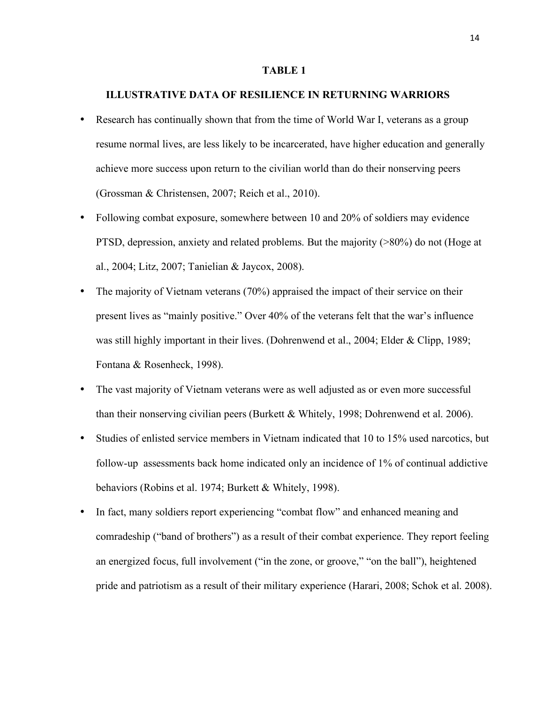#### **ILLUSTRATIVE DATA OF RESILIENCE IN RETURNING WARRIORS**

- Research has continually shown that from the time of World War I, veterans as a group resume normal lives, are less likely to be incarcerated, have higher education and generally achieve more success upon return to the civilian world than do their nonserving peers (Grossman & Christensen, 2007; Reich et al., 2010).
- Following combat exposure, somewhere between 10 and 20% of soldiers may evidence PTSD, depression, anxiety and related problems. But the majority (>80%) do not (Hoge at al., 2004; Litz, 2007; Tanielian & Jaycox, 2008).
- The majority of Vietnam veterans (70%) appraised the impact of their service on their present lives as "mainly positive." Over 40% of the veterans felt that the war's influence was still highly important in their lives. (Dohrenwend et al., 2004; Elder & Clipp, 1989; Fontana & Rosenheck, 1998).
- The vast majority of Vietnam veterans were as well adjusted as or even more successful than their nonserving civilian peers (Burkett & Whitely, 1998; Dohrenwend et al. 2006).
- Studies of enlisted service members in Vietnam indicated that 10 to 15% used narcotics, but follow-up assessments back home indicated only an incidence of 1% of continual addictive behaviors (Robins et al. 1974; Burkett & Whitely, 1998).
- In fact, many soldiers report experiencing "combat flow" and enhanced meaning and comradeship ("band of brothers") as a result of their combat experience. They report feeling an energized focus, full involvement ("in the zone, or groove," "on the ball"), heightened pride and patriotism as a result of their military experience (Harari, 2008; Schok et al. 2008).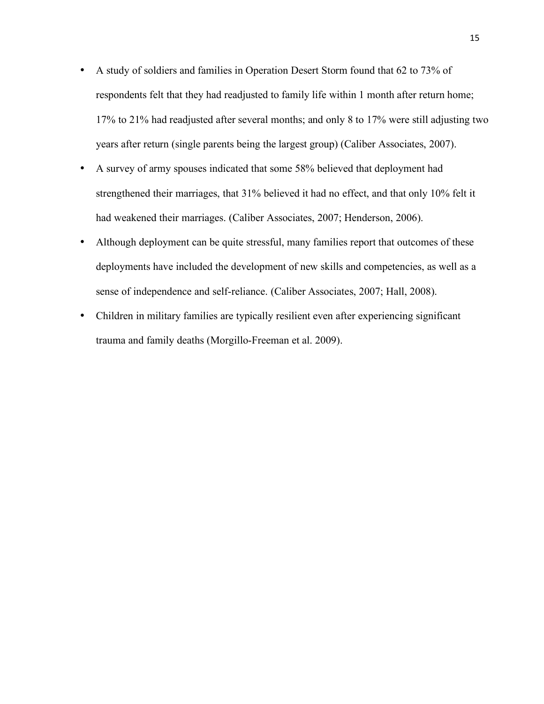- A study of soldiers and families in Operation Desert Storm found that 62 to 73% of respondents felt that they had readjusted to family life within 1 month after return home; 17% to 21% had readjusted after several months; and only 8 to 17% were still adjusting two years after return (single parents being the largest group) (Caliber Associates, 2007).
- A survey of army spouses indicated that some 58% believed that deployment had strengthened their marriages, that 31% believed it had no effect, and that only 10% felt it had weakened their marriages. (Caliber Associates, 2007; Henderson, 2006).
- Although deployment can be quite stressful, many families report that outcomes of these deployments have included the development of new skills and competencies, as well as a sense of independence and self-reliance. (Caliber Associates, 2007; Hall, 2008).
- Children in military families are typically resilient even after experiencing significant trauma and family deaths (Morgillo-Freeman et al. 2009).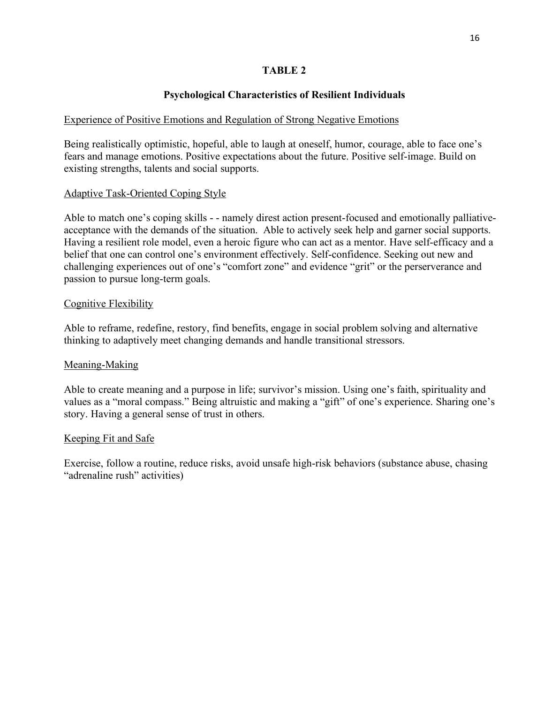## **Psychological Characteristics of Resilient Individuals**

## Experience of Positive Emotions and Regulation of Strong Negative Emotions

Being realistically optimistic, hopeful, able to laugh at oneself, humor, courage, able to face one's fears and manage emotions. Positive expectations about the future. Positive self-image. Build on existing strengths, talents and social supports.

## Adaptive Task-Oriented Coping Style

Able to match one's coping skills - - namely direst action present-focused and emotionally palliativeacceptance with the demands of the situation. Able to actively seek help and garner social supports. Having a resilient role model, even a heroic figure who can act as a mentor. Have self-efficacy and a belief that one can control one's environment effectively. Self-confidence. Seeking out new and challenging experiences out of one's "comfort zone" and evidence "grit" or the perserverance and passion to pursue long-term goals.

## Cognitive Flexibility

Able to reframe, redefine, restory, find benefits, engage in social problem solving and alternative thinking to adaptively meet changing demands and handle transitional stressors.

## Meaning-Making

Able to create meaning and a purpose in life; survivor's mission. Using one's faith, spirituality and values as a "moral compass." Being altruistic and making a "gift" of one's experience. Sharing one's story. Having a general sense of trust in others.

## Keeping Fit and Safe

Exercise, follow a routine, reduce risks, avoid unsafe high-risk behaviors (substance abuse, chasing "adrenaline rush" activities)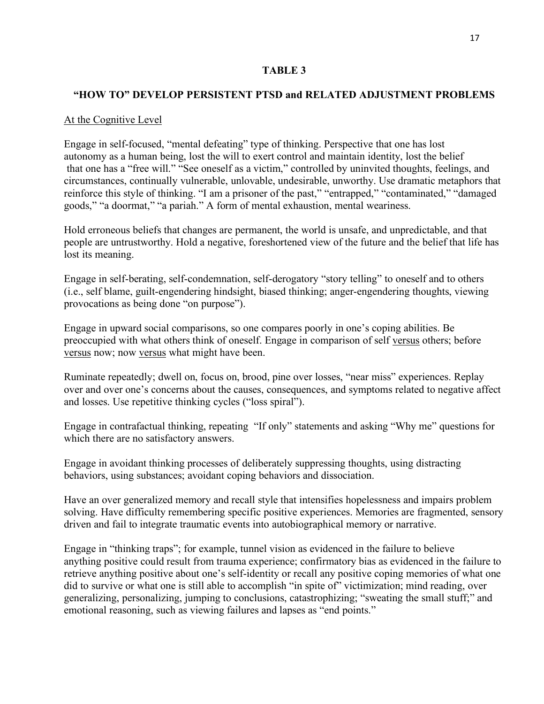## **"HOW TO" DEVELOP PERSISTENT PTSD and RELATED ADJUSTMENT PROBLEMS**

#### At the Cognitive Level

Engage in self-focused, "mental defeating" type of thinking. Perspective that one has lost autonomy as a human being, lost the will to exert control and maintain identity, lost the belief that one has a "free will." "See oneself as a victim," controlled by uninvited thoughts, feelings, and circumstances, continually vulnerable, unlovable, undesirable, unworthy. Use dramatic metaphors that reinforce this style of thinking. "I am a prisoner of the past," "entrapped," "contaminated," "damaged goods," "a doormat," "a pariah." A form of mental exhaustion, mental weariness.

Hold erroneous beliefs that changes are permanent, the world is unsafe, and unpredictable, and that people are untrustworthy. Hold a negative, foreshortened view of the future and the belief that life has lost its meaning.

Engage in self-berating, self-condemnation, self-derogatory "story telling" to oneself and to others (i.e., self blame, guilt-engendering hindsight, biased thinking; anger-engendering thoughts, viewing provocations as being done "on purpose").

Engage in upward social comparisons, so one compares poorly in one's coping abilities. Be preoccupied with what others think of oneself. Engage in comparison of self versus others; before versus now; now versus what might have been.

Ruminate repeatedly; dwell on, focus on, brood, pine over losses, "near miss" experiences. Replay over and over one's concerns about the causes, consequences, and symptoms related to negative affect and losses. Use repetitive thinking cycles ("loss spiral").

Engage in contrafactual thinking, repeating "If only" statements and asking "Why me" questions for which there are no satisfactory answers.

Engage in avoidant thinking processes of deliberately suppressing thoughts, using distracting behaviors, using substances; avoidant coping behaviors and dissociation.

Have an over generalized memory and recall style that intensifies hopelessness and impairs problem solving. Have difficulty remembering specific positive experiences. Memories are fragmented, sensory driven and fail to integrate traumatic events into autobiographical memory or narrative.

Engage in "thinking traps"; for example, tunnel vision as evidenced in the failure to believe anything positive could result from trauma experience; confirmatory bias as evidenced in the failure to retrieve anything positive about one's self-identity or recall any positive coping memories of what one did to survive or what one is still able to accomplish "in spite of" victimization; mind reading, over generalizing, personalizing, jumping to conclusions, catastrophizing; "sweating the small stuff;" and emotional reasoning, such as viewing failures and lapses as "end points."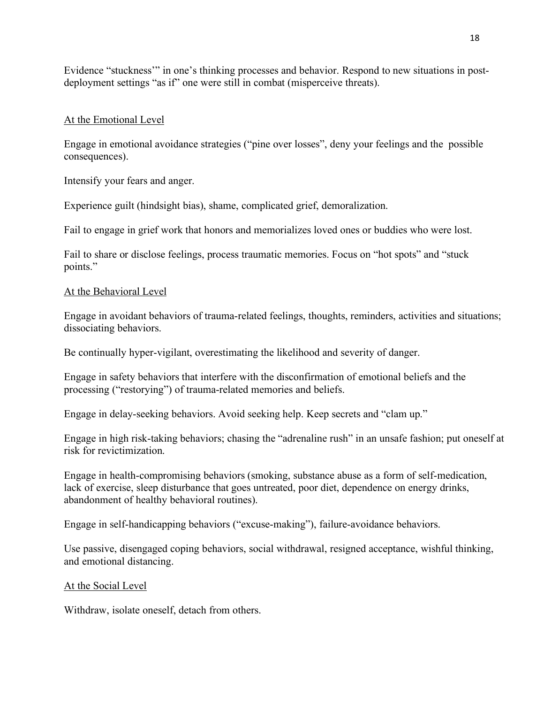Evidence "stuckness'" in one's thinking processes and behavior. Respond to new situations in postdeployment settings "as if" one were still in combat (misperceive threats).

## At the Emotional Level

Engage in emotional avoidance strategies ("pine over losses", deny your feelings and the possible consequences).

Intensify your fears and anger.

Experience guilt (hindsight bias), shame, complicated grief, demoralization.

Fail to engage in grief work that honors and memorializes loved ones or buddies who were lost.

Fail to share or disclose feelings, process traumatic memories. Focus on "hot spots" and "stuck points."

## At the Behavioral Level

Engage in avoidant behaviors of trauma-related feelings, thoughts, reminders, activities and situations; dissociating behaviors.

Be continually hyper-vigilant, overestimating the likelihood and severity of danger.

Engage in safety behaviors that interfere with the disconfirmation of emotional beliefs and the processing ("restorying") of trauma-related memories and beliefs.

Engage in delay-seeking behaviors. Avoid seeking help. Keep secrets and "clam up."

Engage in high risk-taking behaviors; chasing the "adrenaline rush" in an unsafe fashion; put oneself at risk for revictimization.

Engage in health-compromising behaviors (smoking, substance abuse as a form of self-medication, lack of exercise, sleep disturbance that goes untreated, poor diet, dependence on energy drinks, abandonment of healthy behavioral routines).

Engage in self-handicapping behaviors ("excuse-making"), failure-avoidance behaviors.

Use passive, disengaged coping behaviors, social withdrawal, resigned acceptance, wishful thinking, and emotional distancing.

## At the Social Level

Withdraw, isolate oneself, detach from others.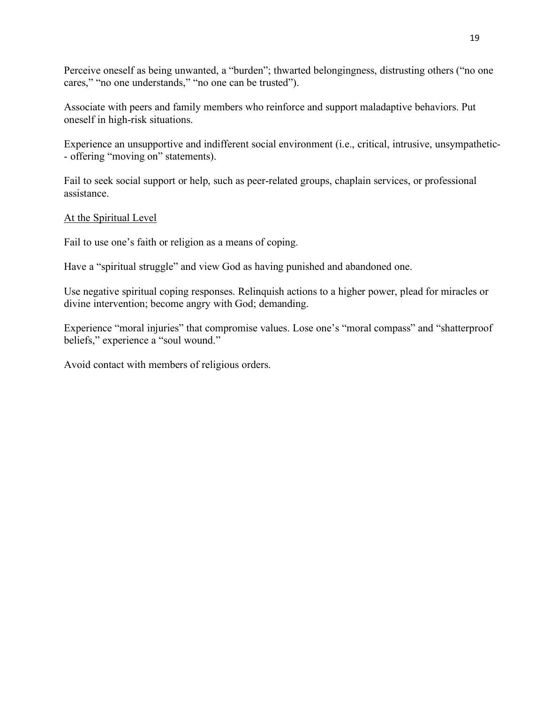Perceive oneself as being unwanted, a "burden"; thwarted belongingness, distrusting others ("no one cares," "no one understands," "no one can be trusted").

Associate with peers and family members who reinforce and support maladaptive behaviors. Put oneself in high-risk situations.

Experience an unsupportive and indifferent social environment (i.e., critical, intrusive, unsympathetic- - offering "moving on" statements).

Fail to seek social support or help, such as peer-related groups, chaplain services, or professional assistance.

At the Spiritual Level

Fail to use one's faith or religion as a means of coping.

Have a "spiritual struggle" and view God as having punished and abandoned one.

Use negative spiritual coping responses. Relinquish actions to a higher power, plead for miracles or divine intervention; become angry with God; demanding.

Experience "moral injuries" that compromise values. Lose one's "moral compass" and "shatterproof beliefs," experience a "soul wound."

Avoid contact with members of religious orders.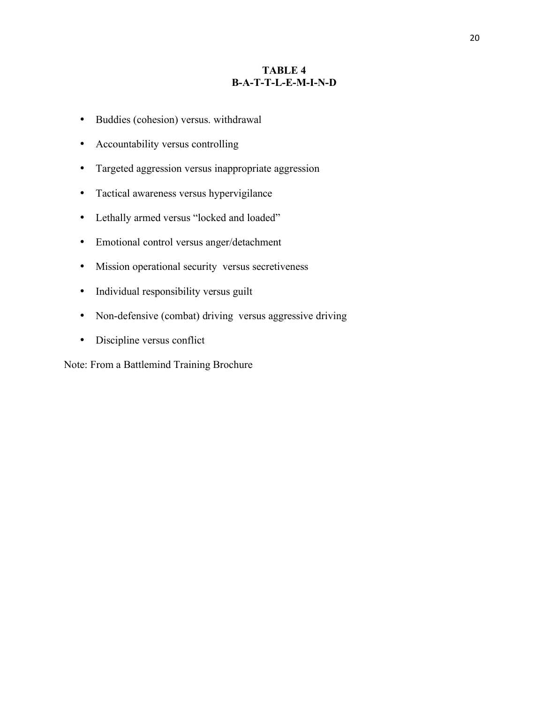## **TABLE 4 B-A-T-T-L-E-M-I-N-D**

- Buddies (cohesion) versus. withdrawal
- Accountability versus controlling
- Targeted aggression versus inappropriate aggression
- Tactical awareness versus hypervigilance
- Lethally armed versus "locked and loaded"
- Emotional control versus anger/detachment
- Mission operational security versus secretiveness
- Individual responsibility versus guilt
- Non-defensive (combat) driving versus aggressive driving
- Discipline versus conflict

Note: From a Battlemind Training Brochure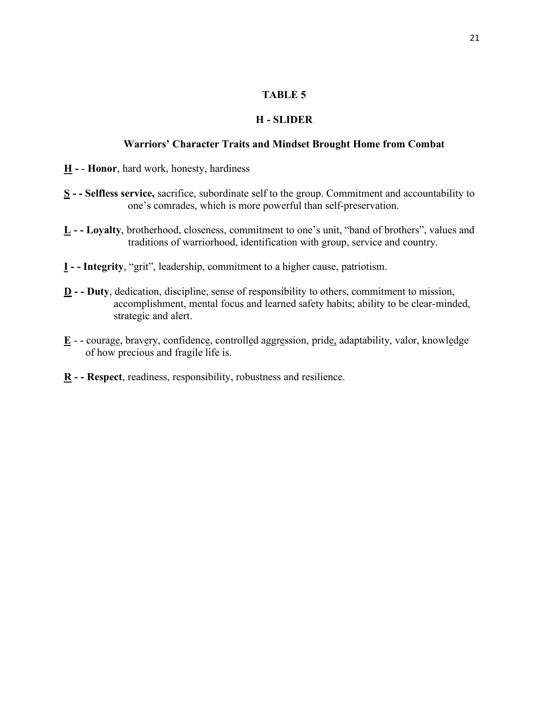#### **H - SLIDER**

#### **Warriors' Character Traits and Mindset Brought Home from Combat**

- **H - Honor**, hard work, honesty, hardiness
- **S - Selfless service,** sacrifice, subordinate self to the group. Commitment and accountability to one's comrades, which is more powerful than self-preservation.
- **L - Loyalty**, brotherhood, closeness, commitment to one's unit, "band of brothers", values and traditions of warriorhood, identification with group, service and country.
- **I - Integrity**, "grit", leadership, commitment to a higher cause, patriotism.
- **D - Duty**, dedication, discipline, sense of responsibility to others, commitment to mission, accomplishment, mental focus and learned safety habits; ability to be clear-minded, strategic and alert.
- **E** - courage, bravery, confidence, controlled aggression, pride, adaptability, valor, knowledge of how precious and fragile life is.
- **R - Respect**, readiness, responsibility, robustness and resilience.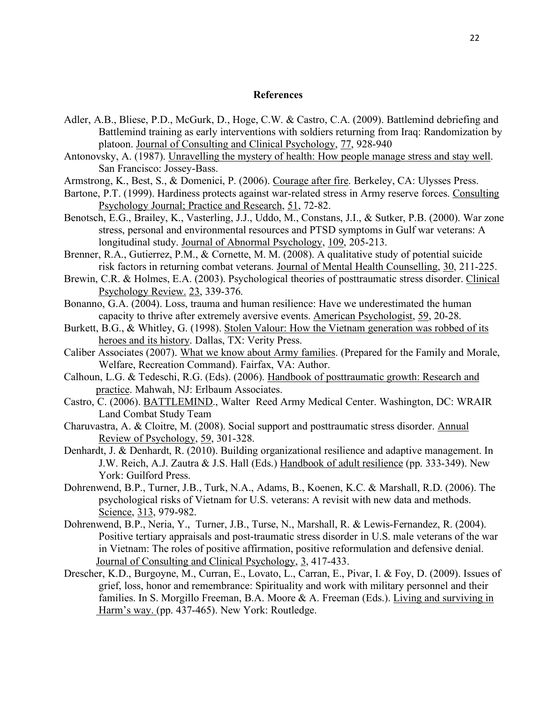#### **References**

- Adler, A.B., Bliese, P.D., McGurk, D., Hoge, C.W. & Castro, C.A. (2009). Battlemind debriefing and Battlemind training as early interventions with soldiers returning from Iraq: Randomization by platoon. Journal of Consulting and Clinical Psychology, 77, 928-940
- Antonovsky, A. (1987). Unravelling the mystery of health: How people manage stress and stay well. San Francisco: Jossey-Bass.
- Armstrong, K., Best, S., & Domenici, P. (2006). Courage after fire. Berkeley, CA: Ulysses Press.
- Bartone, P.T. (1999). Hardiness protects against war-related stress in Army reserve forces. Consulting Psychology Journal; Practice and Research, 51, 72-82.
- Benotsch, E.G., Brailey, K., Vasterling, J.J., Uddo, M., Constans, J.I., & Sutker, P.B. (2000). War zone stress, personal and environmental resources and PTSD symptoms in Gulf war veterans: A longitudinal study. Journal of Abnormal Psychology, 109, 205-213.
- Brenner, R.A., Gutierrez, P.M., & Cornette, M. M. (2008). A qualitative study of potential suicide risk factors in returning combat veterans. Journal of Mental Health Counselling, 30, 211-225.
- Brewin, C.R. & Holmes, E.A. (2003). Psychological theories of posttraumatic stress disorder. Clinical Psychology Review. 23, 339-376.
- Bonanno, G.A. (2004). Loss, trauma and human resilience: Have we underestimated the human capacity to thrive after extremely aversive events. American Psychologist, 59, 20-28.
- Burkett, B.G., & Whitley, G. (1998). Stolen Valour: How the Vietnam generation was robbed of its heroes and its history. Dallas, TX: Verity Press.
- Caliber Associates (2007). What we know about Army families. (Prepared for the Family and Morale, Welfare, Recreation Command). Fairfax, VA: Author.
- Calhoun, L.G. & Tedeschi, R.G. (Eds). (2006). Handbook of posttraumatic growth: Research and practice. Mahwah, NJ: Erlbaum Associates.
- Castro, C. (2006). BATTLEMIND., Walter Reed Army Medical Center. Washington, DC: WRAIR Land Combat Study Team
- Charuvastra, A. & Cloitre, M. (2008). Social support and posttraumatic stress disorder. Annual Review of Psychology, 59, 301-328.
- Denhardt, J. & Denhardt, R. (2010). Building organizational resilience and adaptive management. In J.W. Reich, A.J. Zautra & J.S. Hall (Eds.) Handbook of adult resilience (pp. 333-349). New York: Guilford Press.
- Dohrenwend, B.P., Turner, J.B., Turk, N.A., Adams, B., Koenen, K.C. & Marshall, R.D. (2006). The psychological risks of Vietnam for U.S. veterans: A revisit with new data and methods. Science, 313, 979-982.
- Dohrenwend, B.P., Neria, Y., Turner, J.B., Turse, N., Marshall, R. & Lewis-Fernandez, R. (2004). Positive tertiary appraisals and post-traumatic stress disorder in U.S. male veterans of the war in Vietnam: The roles of positive affirmation, positive reformulation and defensive denial. Journal of Consulting and Clinical Psychology, 3, 417-433.
- Drescher, K.D., Burgoyne, M., Curran, E., Lovato, L., Carran, E., Pivar, I. & Foy, D. (2009). Issues of grief, loss, honor and remembrance: Spirituality and work with military personnel and their families. In S. Morgillo Freeman, B.A. Moore & A. Freeman (Eds.). Living and surviving in Harm's way. (pp. 437-465). New York: Routledge.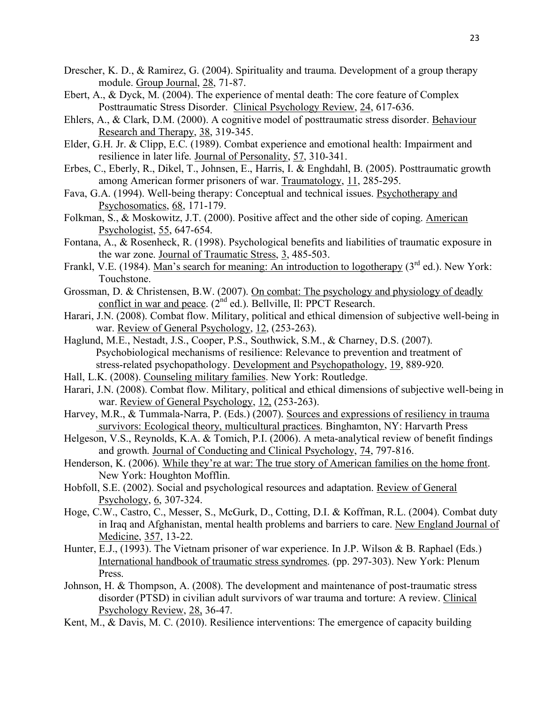- Drescher, K. D., & Ramirez, G. (2004). Spirituality and trauma. Development of a group therapy module. Group Journal, 28, 71-87.
- Ebert, A., & Dyck, M. (2004). The experience of mental death: The core feature of Complex Posttraumatic Stress Disorder. Clinical Psychology Review, 24, 617-636.
- Ehlers, A., & Clark, D.M. (2000). A cognitive model of posttraumatic stress disorder. Behaviour Research and Therapy, 38, 319-345.
- Elder, G.H. Jr. & Clipp, E.C. (1989). Combat experience and emotional health: Impairment and resilience in later life. Journal of Personality, 57, 310-341.
- Erbes, C., Eberly, R., Dikel, T., Johnsen, E., Harris, I. & Enghdahl, B. (2005). Posttraumatic growth among American former prisoners of war. Traumatology, 11, 285-295.
- Fava, G.A. (1994). Well-being therapy: Conceptual and technical issues. Psychotherapy and Psychosomatics, 68, 171-179.
- Folkman, S., & Moskowitz, J.T. (2000). Positive affect and the other side of coping. American Psychologist, 55, 647-654.
- Fontana, A., & Rosenheck, R. (1998). Psychological benefits and liabilities of traumatic exposure in the war zone. Journal of Traumatic Stress, 3, 485-503.
- Frankl, V.E. (1984). Man's search for meaning: An introduction to logotherapy (3<sup>rd</sup> ed.). New York: Touchstone.
- Grossman, D. & Christensen, B.W. (2007). On combat: The psychology and physiology of deadly conflict in war and peace. (2<sup>nd</sup> ed.). Bellville, II: PPCT Research.
- Harari, J.N. (2008). Combat flow. Military, political and ethical dimension of subjective well-being in war. Review of General Psychology, 12, (253-263).
- Haglund, M.E., Nestadt, J.S., Cooper, P.S., Southwick, S.M., & Charney, D.S. (2007). Psychobiological mechanisms of resilience: Relevance to prevention and treatment of stress-related psychopathology. Development and Psychopathology, 19, 889-920.
- Hall, L.K. (2008). Counseling military families. New York: Routledge.
- Harari, J.N. (2008). Combat flow. Military, political and ethical dimensions of subjective well-being in war. Review of General Psychology, 12, (253-263).
- Harvey, M.R., & Tummala-Narra, P. (Eds.) (2007). Sources and expressions of resiliency in trauma survivors: Ecological theory, multicultural practices. Binghamton, NY: Harvarth Press
- Helgeson, V.S., Reynolds, K.A. & Tomich, P.I. (2006). A meta-analytical review of benefit findings and growth. Journal of Conducting and Clinical Psychology, 74, 797-816.
- Henderson, K. (2006). While they're at war: The true story of American families on the home front. New York: Houghton Mofflin.
- Hobfoll, S.E. (2002). Social and psychological resources and adaptation. Review of General Psychology, 6, 307-324.
- Hoge, C.W., Castro, C., Messer, S., McGurk, D., Cotting, D.I. & Koffman, R.L. (2004). Combat duty in Iraq and Afghanistan, mental health problems and barriers to care. New England Journal of Medicine, 357, 13-22.
- Hunter, E.J., (1993). The Vietnam prisoner of war experience. In J.P. Wilson & B. Raphael (Eds.) International handbook of traumatic stress syndromes. (pp. 297-303). New York: Plenum Press.
- Johnson, H. & Thompson, A. (2008). The development and maintenance of post-traumatic stress disorder (PTSD) in civilian adult survivors of war trauma and torture: A review. Clinical Psychology Review, 28, 36-47.
- Kent, M., & Davis, M. C. (2010). Resilience interventions: The emergence of capacity building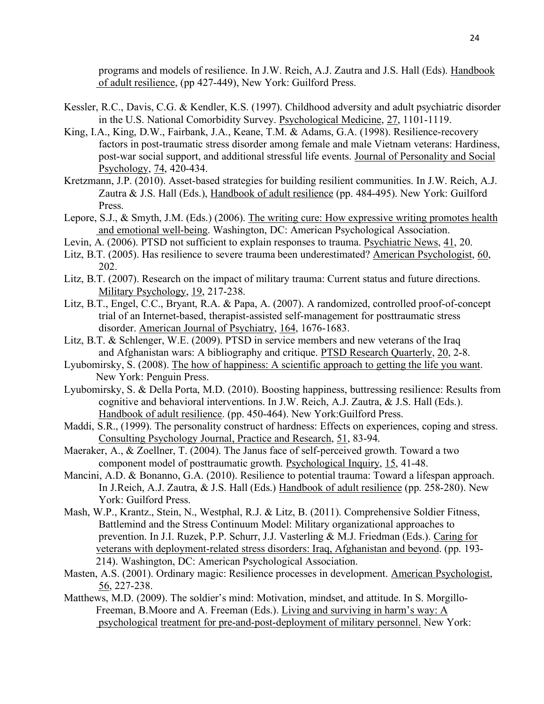programs and models of resilience. In J.W. Reich, A.J. Zautra and J.S. Hall (Eds). Handbook of adult resilience, (pp 427-449), New York: Guilford Press.

- Kessler, R.C., Davis, C.G. & Kendler, K.S. (1997). Childhood adversity and adult psychiatric disorder in the U.S. National Comorbidity Survey. Psychological Medicine, 27, 1101-1119.
- King, I.A., King, D.W., Fairbank, J.A., Keane, T.M. & Adams, G.A. (1998). Resilience-recovery factors in post-traumatic stress disorder among female and male Vietnam veterans: Hardiness, post-war social support, and additional stressful life events. Journal of Personality and Social Psychology, 74, 420-434.
- Kretzmann, J.P. (2010). Asset-based strategies for building resilient communities. In J.W. Reich, A.J. Zautra & J.S. Hall (Eds.), Handbook of adult resilience (pp. 484-495). New York: Guilford Press.
- Lepore, S.J., & Smyth, J.M. (Eds.) (2006). The writing cure: How expressive writing promotes health and emotional well-being. Washington, DC: American Psychological Association.
- Levin, A. (2006). PTSD not sufficient to explain responses to trauma. Psychiatric News, 41, 20.
- Litz, B.T. (2005). Has resilience to severe trauma been underestimated? American Psychologist, 60, 202.
- Litz, B.T. (2007). Research on the impact of military trauma: Current status and future directions. Military Psychology, 19, 217-238.
- Litz, B.T., Engel, C.C., Bryant, R.A. & Papa, A. (2007). A randomized, controlled proof-of-concept trial of an Internet-based, therapist-assisted self-management for posttraumatic stress disorder. American Journal of Psychiatry, 164, 1676-1683.
- Litz, B.T. & Schlenger, W.E. (2009). PTSD in service members and new veterans of the Iraq and Afghanistan wars: A bibliography and critique. PTSD Research Quarterly, 20, 2-8.
- Lyubomirsky, S. (2008). The how of happiness: A scientific approach to getting the life you want. New York: Penguin Press.
- Lyubomirsky, S. & Della Porta, M.D. (2010). Boosting happiness, buttressing resilience: Results from cognitive and behavioral interventions. In J.W. Reich, A.J. Zautra, & J.S. Hall (Eds.). Handbook of adult resilience. (pp. 450-464). New York:Guilford Press.
- Maddi, S.R., (1999). The personality construct of hardness: Effects on experiences, coping and stress. Consulting Psychology Journal, Practice and Research, 51, 83-94.
- Maeraker, A., & Zoellner, T. (2004). The Janus face of self-perceived growth. Toward a two component model of posttraumatic growth. Psychological Inquiry, 15, 41-48.
- Mancini, A.D. & Bonanno, G.A. (2010). Resilience to potential trauma: Toward a lifespan approach. In J.Reich, A.J. Zautra, & J.S. Hall (Eds.) Handbook of adult resilience (pp. 258-280). New York: Guilford Press.
- Mash, W.P., Krantz., Stein, N., Westphal, R.J. & Litz, B. (2011). Comprehensive Soldier Fitness, Battlemind and the Stress Continuum Model: Military organizational approaches to prevention. In J.I. Ruzek, P.P. Schurr, J.J. Vasterling & M.J. Friedman (Eds.). Caring for veterans with deployment-related stress disorders: Iraq, Afghanistan and beyond. (pp. 193- 214). Washington, DC: American Psychological Association.
- Masten, A.S. (2001). Ordinary magic: Resilience processes in development. American Psychologist, 56, 227-238.
- Matthews, M.D. (2009). The soldier's mind: Motivation, mindset, and attitude. In S. Morgillo-Freeman, B. Moore and A. Freeman (Eds.). Living and surviving in harm's way: A psychological treatment for pre-and-post-deployment of military personnel. New York: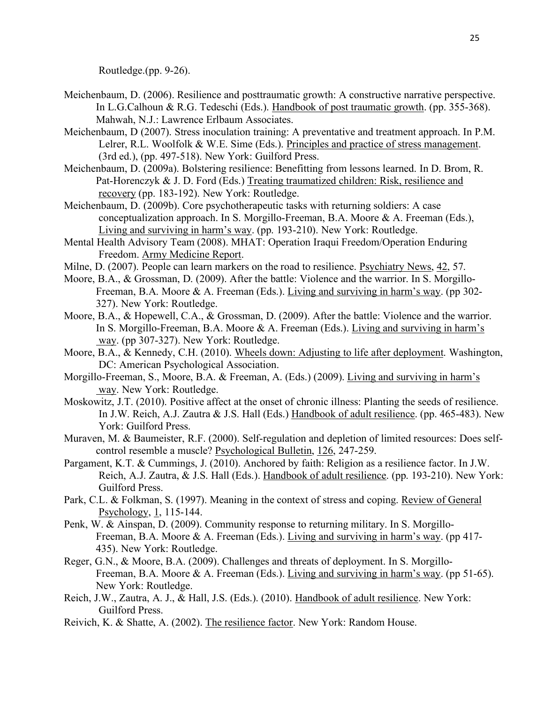Routledge.(pp. 9-26).

- Meichenbaum, D. (2006). Resilience and posttraumatic growth: A constructive narrative perspective. In L.G.Calhoun & R.G. Tedeschi (Eds.). Handbook of post traumatic growth. (pp. 355-368). Mahwah, N.J.: Lawrence Erlbaum Associates.
- Meichenbaum, D (2007). Stress inoculation training: A preventative and treatment approach. In P.M. Lelrer, R.L. Woolfolk & W.E. Sime (Eds.). Principles and practice of stress management. (3rd ed.), (pp. 497-518). New York: Guilford Press.
- Meichenbaum, D. (2009a). Bolstering resilience: Benefitting from lessons learned. In D. Brom, R. Pat-Horenczyk & J. D. Ford (Eds.) Treating traumatized children: Risk, resilience and recovery (pp. 183-192). New York: Routledge.
- Meichenbaum, D. (2009b). Core psychotherapeutic tasks with returning soldiers: A case conceptualization approach. In S. Morgillo-Freeman, B.A. Moore & A. Freeman (Eds.), Living and surviving in harm's way. (pp. 193-210). New York: Routledge.
- Mental Health Advisory Team (2008). MHAT: Operation Iraqui Freedom/Operation Enduring Freedom. Army Medicine Report.
- Milne, D. (2007). People can learn markers on the road to resilience. Psychiatry News, 42, 57.
- Moore, B.A., & Grossman, D. (2009). After the battle: Violence and the warrior. In S. Morgillo-Freeman, B.A. Moore & A. Freeman (Eds.). Living and surviving in harm's way. (pp 302-327). New York: Routledge.
- Moore, B.A., & Hopewell, C.A., & Grossman, D. (2009). After the battle: Violence and the warrior. In S. Morgillo-Freeman, B.A. Moore & A. Freeman (Eds.). Living and surviving in harm's way. (pp 307-327). New York: Routledge.
- Moore, B.A., & Kennedy, C.H. (2010). Wheels down: Adjusting to life after deployment. Washington, DC: American Psychological Association.
- Morgillo-Freeman, S., Moore, B.A. & Freeman, A. (Eds.) (2009). Living and surviving in harm's way. New York: Routledge.
- Moskowitz, J.T. (2010). Positive affect at the onset of chronic illness: Planting the seeds of resilience. In J.W. Reich, A.J. Zautra & J.S. Hall (Eds.) Handbook of adult resilience. (pp. 465-483). New York: Guilford Press.
- Muraven, M. & Baumeister, R.F. (2000). Self-regulation and depletion of limited resources: Does selfcontrol resemble a muscle? Psychological Bulletin, 126, 247-259.
- Pargament, K.T. & Cummings, J. (2010). Anchored by faith: Religion as a resilience factor. In J.W. Reich, A.J. Zautra, & J.S. Hall (Eds.). Handbook of adult resilience. (pp. 193-210). New York: Guilford Press.
- Park, C.L. & Folkman, S. (1997). Meaning in the context of stress and coping. Review of General Psychology, 1, 115-144.
- Penk, W. & Ainspan, D. (2009). Community response to returning military. In S. Morgillo-Freeman, B.A. Moore & A. Freeman (Eds.). Living and surviving in harm's way. (pp 417- 435). New York: Routledge.
- Reger, G.N., & Moore, B.A. (2009). Challenges and threats of deployment. In S. Morgillo-Freeman, B.A. Moore & A. Freeman (Eds.). Living and surviving in harm's way. (pp 51-65). New York: Routledge.
- Reich, J.W., Zautra, A. J., & Hall, J.S. (Eds.). (2010). Handbook of adult resilience. New York: Guilford Press.
- Reivich, K. & Shatte, A. (2002). The resilience factor. New York: Random House.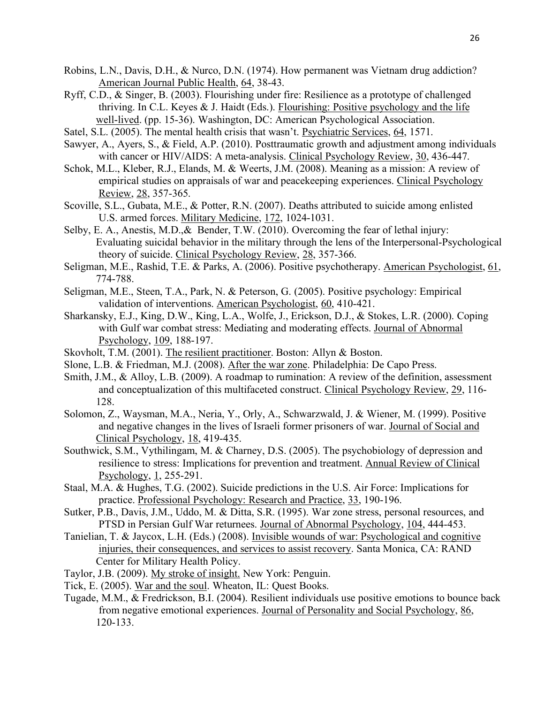- Robins, L.N., Davis, D.H., & Nurco, D.N. (1974). How permanent was Vietnam drug addiction? American Journal Public Health, 64, 38-43.
- Ryff, C.D., & Singer, B. (2003). Flourishing under fire: Resilience as a prototype of challenged thriving. In C.L. Keyes  $&$  J. Haidt (Eds.). Flourishing: Positive psychology and the life well-lived. (pp. 15-36). Washington, DC: American Psychological Association.
- Satel, S.L. (2005). The mental health crisis that wasn't. Psychiatric Services, 64, 1571.
- Sawyer, A., Ayers, S., & Field, A.P. (2010). Posttraumatic growth and adjustment among individuals with cancer or HIV/AIDS: A meta-analysis. Clinical Psychology Review, 30, 436-447.
- Schok, M.L., Kleber, R.J., Elands, M. & Weerts, J.M. (2008). Meaning as a mission: A review of empirical studies on appraisals of war and peacekeeping experiences. Clinical Psychology Review, 28, 357-365.
- Scoville, S.L., Gubata, M.E., & Potter, R.N. (2007). Deaths attributed to suicide among enlisted U.S. armed forces. Military Medicine, 172, 1024-1031.
- Selby, E. A., Anestis, M.D.,& Bender, T.W. (2010). Overcoming the fear of lethal injury: Evaluating suicidal behavior in the military through the lens of the Interpersonal-Psychological theory of suicide. Clinical Psychology Review, 28, 357-366.
- Seligman, M.E., Rashid, T.E. & Parks, A. (2006). Positive psychotherapy. American Psychologist, 61, 774-788.
- Seligman, M.E., Steen, T.A., Park, N. & Peterson, G. (2005). Positive psychology: Empirical validation of interventions. American Psychologist, 60, 410-421.
- Sharkansky, E.J., King, D.W., King, L.A., Wolfe, J., Erickson, D.J., & Stokes, L.R. (2000). Coping with Gulf war combat stress: Mediating and moderating effects. Journal of Abnormal Psychology, 109, 188-197.
- Skovholt, T.M. (2001). The resilient practitioner. Boston: Allyn & Boston.
- Slone, L.B. & Friedman, M.J. (2008). After the war zone. Philadelphia: De Capo Press.
- Smith, J.M., & Alloy, L.B. (2009). A roadmap to rumination: A review of the definition, assessment and conceptualization of this multifaceted construct. Clinical Psychology Review, 29, 116- 128.
- Solomon, Z., Waysman, M.A., Neria, Y., Orly, A., Schwarzwald, J. & Wiener, M. (1999). Positive and negative changes in the lives of Israeli former prisoners of war. Journal of Social and Clinical Psychology, 18, 419-435.
- Southwick, S.M., Vythilingam, M. & Charney, D.S. (2005). The psychobiology of depression and resilience to stress: Implications for prevention and treatment. Annual Review of Clinical Psychology, 1, 255-291.
- Staal, M.A. & Hughes, T.G. (2002). Suicide predictions in the U.S. Air Force: Implications for practice. Professional Psychology: Research and Practice, 33, 190-196.
- Sutker, P.B., Davis, J.M., Uddo, M. & Ditta, S.R. (1995). War zone stress, personal resources, and PTSD in Persian Gulf War returnees. Journal of Abnormal Psychology, 104, 444-453.
- Tanielian, T. & Jaycox, L.H. (Eds.) (2008). Invisible wounds of war: Psychological and cognitive injuries, their consequences, and services to assist recovery. Santa Monica, CA: RAND Center for Military Health Policy.
- Taylor, J.B. (2009). My stroke of insight. New York: Penguin.
- Tick, E. (2005). War and the soul. Wheaton, IL: Quest Books.
- Tugade, M.M., & Fredrickson, B.I. (2004). Resilient individuals use positive emotions to bounce back from negative emotional experiences. Journal of Personality and Social Psychology, 86, 120-133.